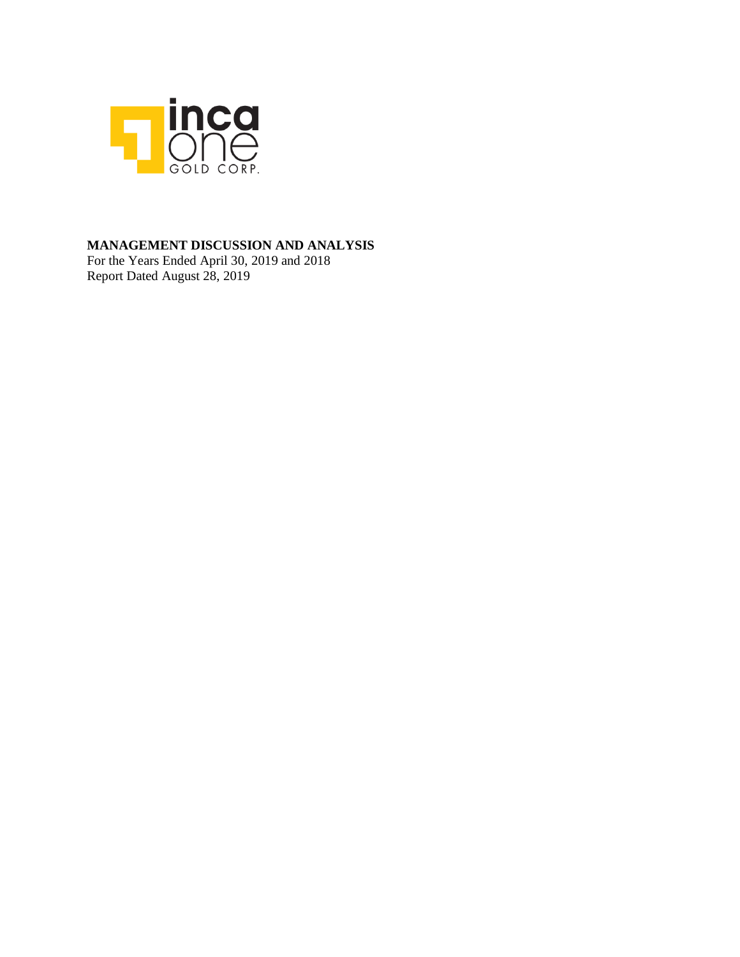

# **MANAGEMENT DISCUSSION AND ANALYSIS**

For the Years Ended April 30, 2019 and 2018 Report Dated August 28, 2019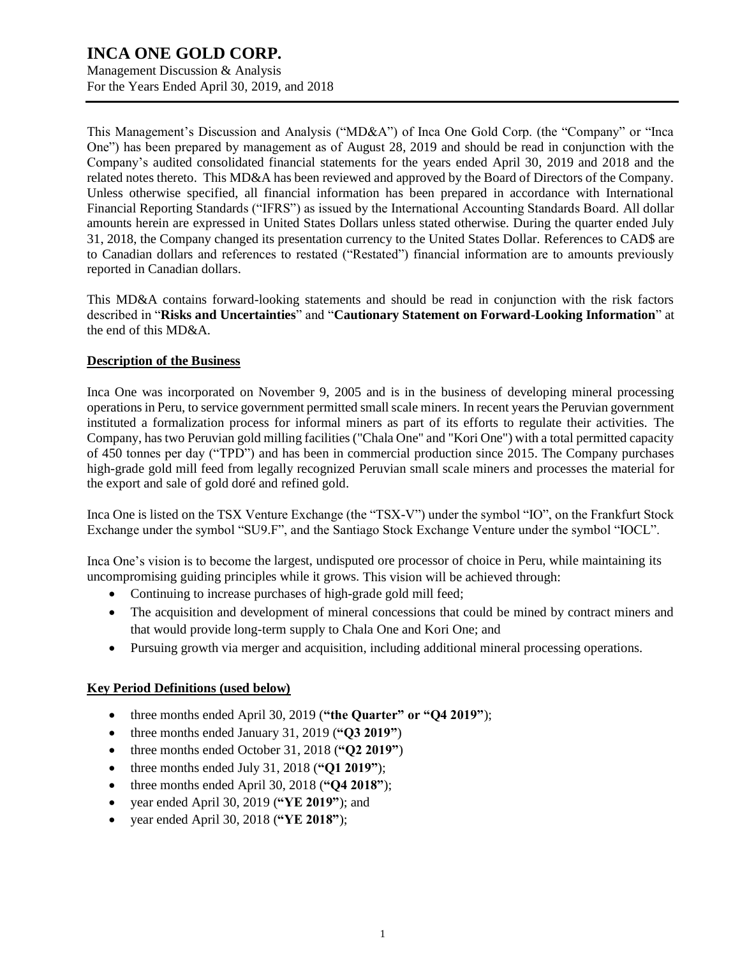Management Discussion & Analysis For the Years Ended April 30, 2019, and 2018

This Management's Discussion and Analysis ("MD&A") of Inca One Gold Corp. (the "Company" or "Inca One") has been prepared by management as of August 28, 2019 and should be read in conjunction with the Company's audited consolidated financial statements for the years ended April 30, 2019 and 2018 and the related notes thereto. This MD&A has been reviewed and approved by the Board of Directors of the Company. Unless otherwise specified, all financial information has been prepared in accordance with International Financial Reporting Standards ("IFRS") as issued by the International Accounting Standards Board. All dollar amounts herein are expressed in United States Dollars unless stated otherwise. During the quarter ended July 31, 2018, the Company changed its presentation currency to the United States Dollar. References to CAD\$ are to Canadian dollars and references to restated ("Restated") financial information are to amounts previously reported in Canadian dollars.

This MD&A contains forward-looking statements and should be read in conjunction with the risk factors described in "**Risks and Uncertainties**" and "**Cautionary Statement on Forward-Looking Information**" at the end of this MD&A.

# **Description of the Business**

Inca One was incorporated on November 9, 2005 and is in the business of developing mineral processing operations in Peru, to service government permitted small scale miners. In recent years the Peruvian government instituted a formalization process for informal miners as part of its efforts to regulate their activities. The Company, has two Peruvian gold milling facilities ("Chala One" and "Kori One") with a total permitted capacity of 450 tonnes per day ("TPD") and has been in commercial production since 2015. The Company purchases high-grade gold mill feed from legally recognized Peruvian small scale miners and processes the material for the export and sale of gold doré and refined gold.

Inca One is listed on the TSX Venture Exchange (the "TSX-V") under the symbol "IO", on the Frankfurt Stock Exchange under the symbol "SU9.F", and the Santiago Stock Exchange Venture under the symbol "IOCL".

Inca One's vision is to become the largest, undisputed ore processor of choice in Peru, while maintaining its uncompromising guiding principles while it grows. This vision will be achieved through:

- Continuing to increase purchases of high-grade gold mill feed;
- The acquisition and development of mineral concessions that could be mined by contract miners and that would provide long-term supply to Chala One and Kori One; and
- Pursuing growth via merger and acquisition, including additional mineral processing operations.

# **Key Period Definitions (used below)**

- three months ended April 30, 2019 (**"the Quarter" or "Q4 2019"**);
- three months ended January 31, 2019 (**"Q3 2019"**)
- three months ended October 31, 2018 (**"Q2 2019"**)
- three months ended July 31, 2018 (**"Q1 2019"**);
- three months ended April 30, 2018 (**"Q4 2018"**);
- year ended April 30, 2019 (**"YE 2019"**); and
- year ended April 30, 2018 (**"YE 2018"**);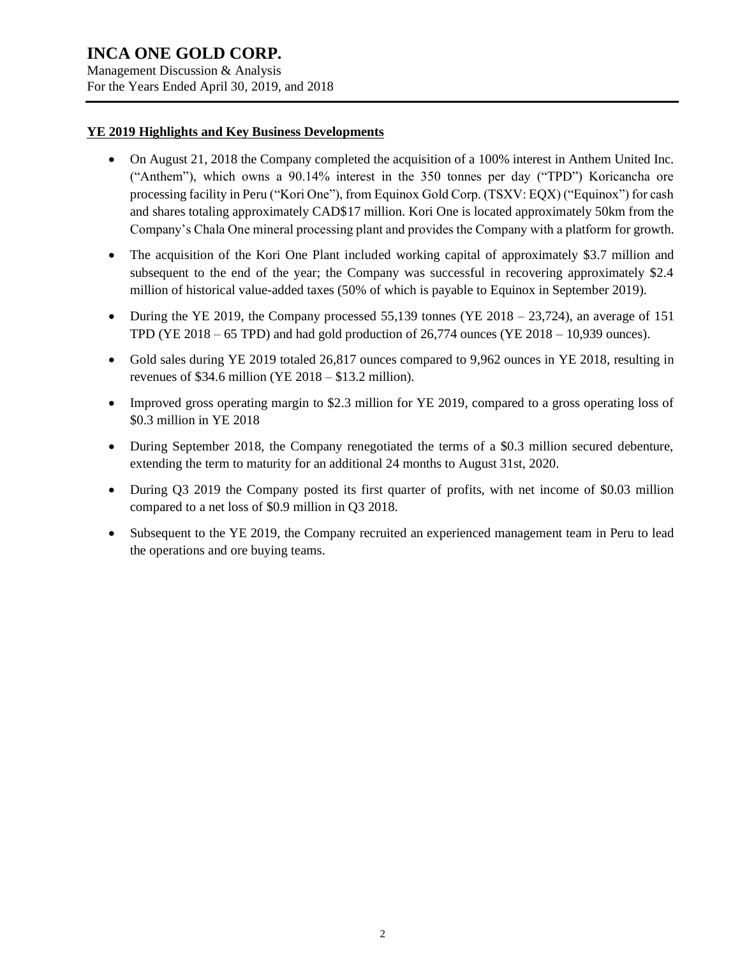Management Discussion & Analysis For the Years Ended April 30, 2019, and 2018

# **YE 2019 Highlights and Key Business Developments**

- On August 21, 2018 the Company completed the acquisition of a 100% interest in Anthem United Inc. ("Anthem"), which owns a 90.14% interest in the 350 tonnes per day ("TPD") Koricancha ore processing facility in Peru ("Kori One"), from Equinox Gold Corp. (TSXV: EQX) ("Equinox") for cash and shares totaling approximately CAD\$17 million. Kori One is located approximately 50km from the Company's Chala One mineral processing plant and provides the Company with a platform for growth.
- The acquisition of the Kori One Plant included working capital of approximately \$3.7 million and subsequent to the end of the year; the Company was successful in recovering approximately \$2.4 million of historical value-added taxes (50% of which is payable to Equinox in September 2019).
- During the YE 2019, the Company processed 55,139 tonnes (YE 2018 23,724), an average of 151 TPD (YE 2018 – 65 TPD) and had gold production of 26,774 ounces (YE 2018 – 10,939 ounces).
- Gold sales during YE 2019 totaled 26,817 ounces compared to 9,962 ounces in YE 2018, resulting in revenues of  $$34.6$  million (YE 2018 –  $$13.2$  million).
- Improved gross operating margin to \$2.3 million for YE 2019, compared to a gross operating loss of \$0.3 million in YE 2018
- During September 2018, the Company renegotiated the terms of a \$0.3 million secured debenture, extending the term to maturity for an additional 24 months to August 31st, 2020.
- During Q3 2019 the Company posted its first quarter of profits, with net income of \$0.03 million compared to a net loss of \$0.9 million in Q3 2018.
- Subsequent to the YE 2019, the Company recruited an experienced management team in Peru to lead the operations and ore buying teams.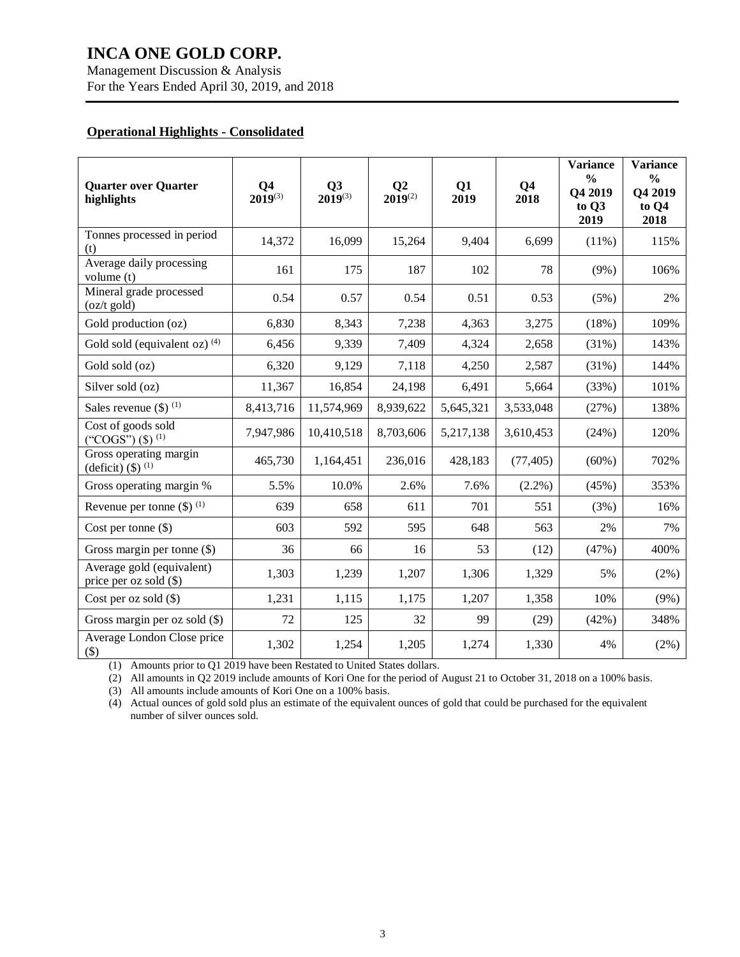Management Discussion & Analysis For the Years Ended April 30, 2019, and 2018

# **Operational Highlights - Consolidated**

| <b>Quarter over Quarter</b><br>highlights           | Q <sub>4</sub><br>$2019^{(3)}$ | Q3<br>$2019^{(3)}$ | Q <sub>2</sub><br>$2019^{(2)}$ | Q1<br>2019 | Q <sub>4</sub><br>2018 | <b>Variance</b><br>$\frac{0}{0}$<br>Q4 2019<br>to Q3<br>2019 | <b>Variance</b><br>$\frac{0}{0}$<br>Q4 2019<br>to Q4<br>2018 |
|-----------------------------------------------------|--------------------------------|--------------------|--------------------------------|------------|------------------------|--------------------------------------------------------------|--------------------------------------------------------------|
| Tonnes processed in period<br>(t)                   | 14,372                         | 16,099             | 15,264                         | 9,404      | 6,699                  | $(11\%)$                                                     | 115%                                                         |
| Average daily processing<br>volume $(t)$            | 161                            | 175                | 187                            | 102        | 78                     | $(9\%)$                                                      | 106%                                                         |
| Mineral grade processed<br>$(oz/t$ gold)            | 0.54                           | 0.57               | 0.54                           | 0.51       | 0.53                   | (5%)                                                         | 2%                                                           |
| Gold production (oz)                                | 6,830                          | 8,343              | 7,238                          | 4,363      | 3,275                  | (18%)                                                        | 109%                                                         |
| Gold sold (equivalent oz) $(4)$                     | 6,456                          | 9,339              | 7,409                          | 4,324      | 2,658                  | (31%)                                                        | 143%                                                         |
| Gold sold (oz)                                      | 6,320                          | 9,129              | 7,118                          | 4,250      | 2,587                  | (31%)                                                        | 144%                                                         |
| Silver sold (oz)                                    | 11,367                         | 16,854             | 24,198                         | 6,491      | 5,664                  | (33%)                                                        | 101%                                                         |
| Sales revenue $(\$)$ <sup>(1)</sup>                 | 8,413,716                      | 11,574,969         | 8,939,622                      | 5,645,321  | 3,533,048              | (27%)                                                        | 138%                                                         |
| Cost of goods sold<br>("COGS") $($ \$) $^{(1)}$     | 7,947,986                      | 10,410,518         | 8,703,606                      | 5,217,138  | 3,610,453              | (24%)                                                        | 120%                                                         |
| Gross operating margin<br>(deficit) $($ ) $^{(1)}$  | 465,730                        | 1,164,451          | 236,016                        | 428,183    | (77, 405)              | $(60\%)$                                                     | 702%                                                         |
| Gross operating margin %                            | 5.5%                           | 10.0%              | 2.6%                           | 7.6%       | $(2.2\%)$              | (45%)                                                        | 353%                                                         |
| Revenue per tonne $(\$)$ <sup>(1)</sup>             | 639                            | 658                | 611                            | 701        | 551                    | (3%)                                                         | 16%                                                          |
| Cost per tonne (\$)                                 | 603                            | 592                | 595                            | 648        | 563                    | 2%                                                           | 7%                                                           |
| Gross margin per tonne $(\$)$                       | 36                             | 66                 | 16                             | 53         | (12)                   | (47%)                                                        | 400%                                                         |
| Average gold (equivalent)<br>price per oz sold (\$) | 1,303                          | 1,239              | 1,207                          | 1,306      | 1,329                  | 5%                                                           | $(2\%)$                                                      |
| Cost per oz sold $(\$)$                             | 1,231                          | 1,115              | 1,175                          | 1,207      | 1,358                  | 10%                                                          | $(9\%)$                                                      |
| Gross margin per oz sold $(\$)$                     | 72                             | 125                | 32                             | 99         | (29)                   | (42%)                                                        | 348%                                                         |
| Average London Close price<br>$(\$)$                | 1,302                          | 1,254              | 1,205                          | 1,274      | 1,330                  | 4%                                                           | $(2\%)$                                                      |

(1) Amounts prior to Q1 2019 have been Restated to United States dollars.

(2) All amounts in Q2 2019 include amounts of Kori One for the period of August 21 to October 31, 2018 on a 100% basis.

(3) All amounts include amounts of Kori One on a 100% basis.

(4) Actual ounces of gold sold plus an estimate of the equivalent ounces of gold that could be purchased for the equivalent number of silver ounces sold.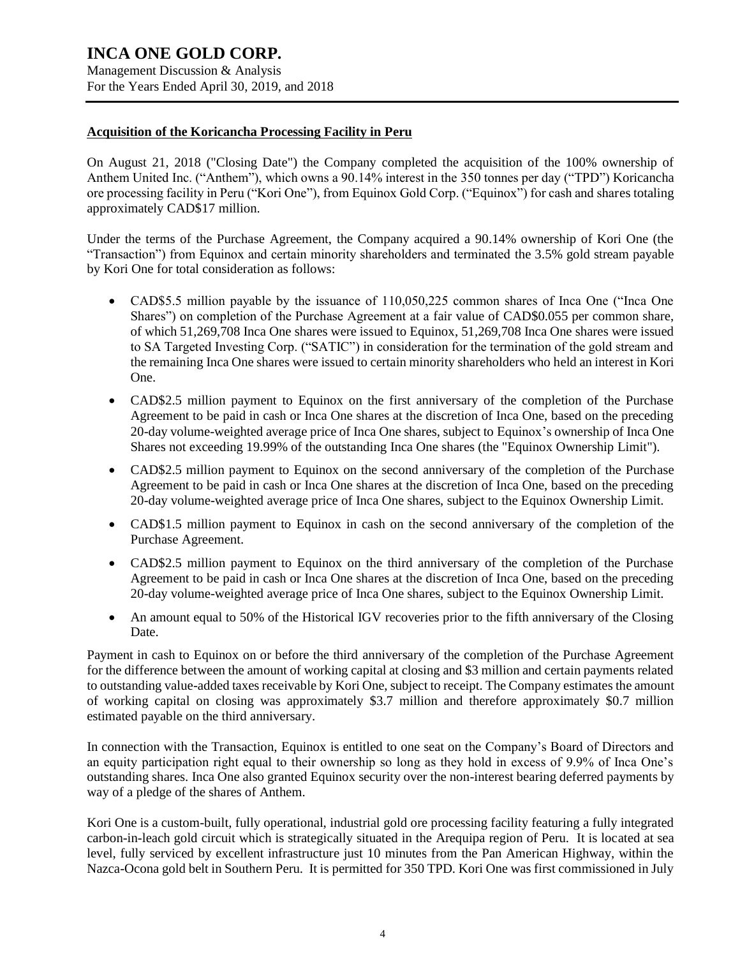For the Years Ended April 30, 2019, and 2018

# **Acquisition of the Koricancha Processing Facility in Peru**

On August 21, 2018 ("Closing Date") the Company completed the acquisition of the 100% ownership of Anthem United Inc. ("Anthem"), which owns a 90.14% interest in the 350 tonnes per day ("TPD") Koricancha ore processing facility in Peru ("Kori One"), from Equinox Gold Corp. ("Equinox") for cash and shares totaling approximately CAD\$17 million.

Under the terms of the Purchase Agreement, the Company acquired a 90.14% ownership of Kori One (the "Transaction") from Equinox and certain minority shareholders and terminated the 3.5% gold stream payable by Kori One for total consideration as follows:

- CAD\$5.5 million payable by the issuance of 110,050,225 common shares of Inca One ("Inca One Shares") on completion of the Purchase Agreement at a fair value of CAD\$0.055 per common share, of which 51,269,708 Inca One shares were issued to Equinox, 51,269,708 Inca One shares were issued to SA Targeted Investing Corp. ("SATIC") in consideration for the termination of the gold stream and the remaining Inca One shares were issued to certain minority shareholders who held an interest in Kori One.
- CAD\$2.5 million payment to Equinox on the first anniversary of the completion of the Purchase Agreement to be paid in cash or Inca One shares at the discretion of Inca One, based on the preceding 20-day volume-weighted average price of Inca One shares, subject to Equinox's ownership of Inca One Shares not exceeding 19.99% of the outstanding Inca One shares (the "Equinox Ownership Limit").
- CAD\$2.5 million payment to Equinox on the second anniversary of the completion of the Purchase Agreement to be paid in cash or Inca One shares at the discretion of Inca One, based on the preceding 20-day volume-weighted average price of Inca One shares, subject to the Equinox Ownership Limit.
- CAD\$1.5 million payment to Equinox in cash on the second anniversary of the completion of the Purchase Agreement.
- CAD\$2.5 million payment to Equinox on the third anniversary of the completion of the Purchase Agreement to be paid in cash or Inca One shares at the discretion of Inca One, based on the preceding 20-day volume-weighted average price of Inca One shares, subject to the Equinox Ownership Limit.
- An amount equal to 50% of the Historical IGV recoveries prior to the fifth anniversary of the Closing Date.

Payment in cash to Equinox on or before the third anniversary of the completion of the Purchase Agreement for the difference between the amount of working capital at closing and \$3 million and certain payments related to outstanding value-added taxes receivable by Kori One, subject to receipt. The Company estimates the amount of working capital on closing was approximately \$3.7 million and therefore approximately \$0.7 million estimated payable on the third anniversary.

In connection with the Transaction, Equinox is entitled to one seat on the Company's Board of Directors and an equity participation right equal to their ownership so long as they hold in excess of 9.9% of Inca One's outstanding shares. Inca One also granted Equinox security over the non-interest bearing deferred payments by way of a pledge of the shares of Anthem.

Kori One is a custom-built, fully operational, industrial gold ore processing facility featuring a fully integrated carbon-in-leach gold circuit which is strategically situated in the Arequipa region of Peru. It is located at sea level, fully serviced by excellent infrastructure just 10 minutes from the Pan American Highway, within the Nazca-Ocona gold belt in Southern Peru. It is permitted for 350 TPD. Kori One was first commissioned in July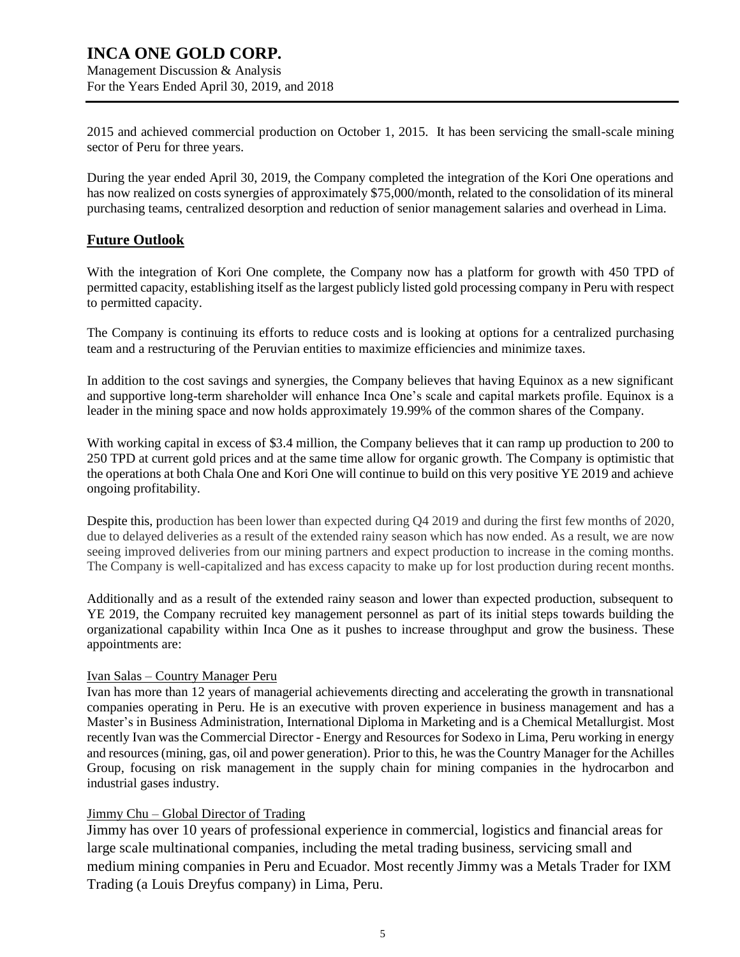# **INCA ONE GOLD CORP.** Management Discussion & Analysis

For the Years Ended April 30, 2019, and 2018

2015 and achieved commercial production on October 1, 2015. It has been servicing the small-scale mining sector of Peru for three years.

During the year ended April 30, 2019, the Company completed the integration of the Kori One operations and has now realized on costs synergies of approximately \$75,000/month, related to the consolidation of its mineral purchasing teams, centralized desorption and reduction of senior management salaries and overhead in Lima.

# **Future Outlook**

With the integration of Kori One complete, the Company now has a platform for growth with 450 TPD of permitted capacity, establishing itself as the largest publicly listed gold processing company in Peru with respect to permitted capacity.

The Company is continuing its efforts to reduce costs and is looking at options for a centralized purchasing team and a restructuring of the Peruvian entities to maximize efficiencies and minimize taxes.

In addition to the cost savings and synergies, the Company believes that having Equinox as a new significant and supportive long-term shareholder will enhance Inca One's scale and capital markets profile. Equinox is a leader in the mining space and now holds approximately 19.99% of the common shares of the Company.

With working capital in excess of \$3.4 million, the Company believes that it can ramp up production to 200 to 250 TPD at current gold prices and at the same time allow for organic growth. The Company is optimistic that the operations at both Chala One and Kori One will continue to build on this very positive YE 2019 and achieve ongoing profitability.

Despite this, production has been lower than expected during Q4 2019 and during the first few months of 2020, due to delayed deliveries as a result of the extended rainy season which has now ended. As a result, we are now seeing improved deliveries from our mining partners and expect production to increase in the coming months. The Company is well-capitalized and has excess capacity to make up for lost production during recent months.

Additionally and as a result of the extended rainy season and lower than expected production, subsequent to YE 2019, the Company recruited key management personnel as part of its initial steps towards building the organizational capability within Inca One as it pushes to increase throughput and grow the business. These appointments are:

## Ivan Salas – Country Manager Peru

Ivan has more than 12 years of managerial achievements directing and accelerating the growth in transnational companies operating in Peru. He is an executive with proven experience in business management and has a Master's in Business Administration, International Diploma in Marketing and is a Chemical Metallurgist. Most recently Ivan was the Commercial Director - Energy and Resources for Sodexo in Lima, Peru working in energy and resources (mining, gas, oil and power generation). Prior to this, he was the Country Manager for the Achilles Group, focusing on risk management in the supply chain for mining companies in the hydrocarbon and industrial gases industry.

# Jimmy Chu – Global Director of Trading

Jimmy has over 10 years of professional experience in commercial, logistics and financial areas for large scale multinational companies, including the metal trading business, servicing small and medium mining companies in Peru and Ecuador. Most recently Jimmy was a Metals Trader for IXM Trading (a Louis Dreyfus company) in Lima, Peru.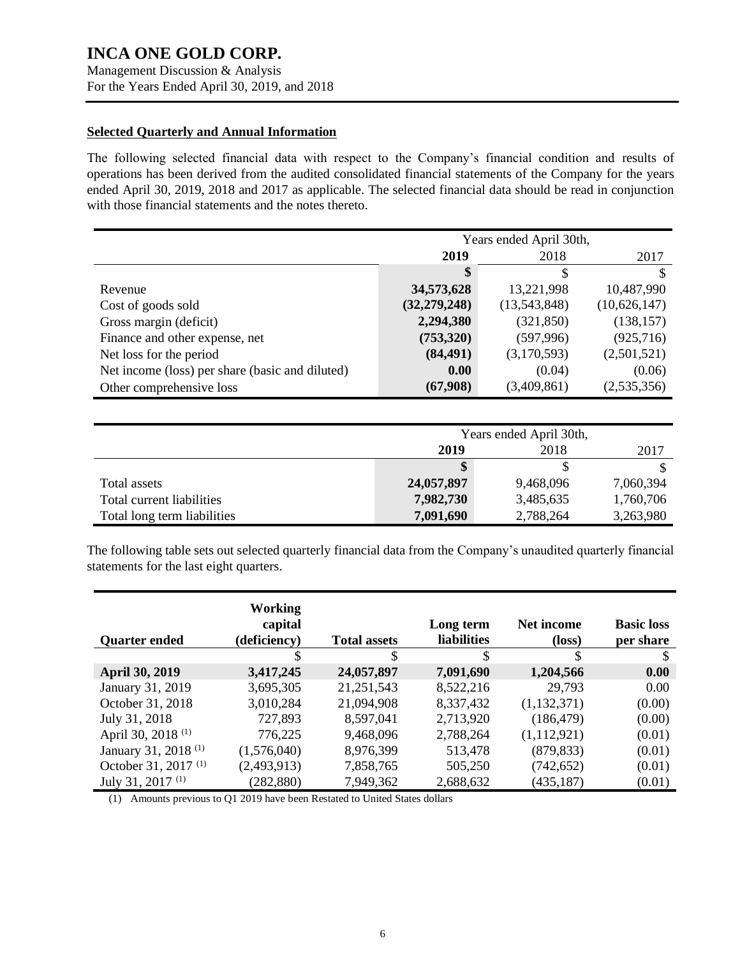Management Discussion & Analysis For the Years Ended April 30, 2019, and 2018

## **Selected Quarterly and Annual Information**

The following selected financial data with respect to the Company's financial condition and results of operations has been derived from the audited consolidated financial statements of the Company for the years ended April 30, 2019, 2018 and 2017 as applicable. The selected financial data should be read in conjunction with those financial statements and the notes thereto.

|                                                 |                | Years ended April 30th, |              |
|-------------------------------------------------|----------------|-------------------------|--------------|
|                                                 | 2019           | 2018                    | 2017         |
|                                                 | \$             | S                       | S            |
| Revenue                                         | 34,573,628     | 13,221,998              | 10,487,990   |
| Cost of goods sold                              | (32, 279, 248) | (13,543,848)            | (10,626,147) |
| Gross margin (deficit)                          | 2,294,380      | (321, 850)              | (138, 157)   |
| Finance and other expense, net                  | (753,320)      | (597, 996)              | (925,716)    |
| Net loss for the period                         | (84, 491)      | (3,170,593)             | (2,501,521)  |
| Net income (loss) per share (basic and diluted) | 0.00           | (0.04)                  | (0.06)       |
| Other comprehensive loss                        | (67,908)       | (3,409,861)             | (2,535,356)  |

|                             |            | Years ended April 30th, |           |
|-----------------------------|------------|-------------------------|-----------|
|                             | 2019       | 2018                    | 2017      |
|                             |            |                         |           |
| Total assets                | 24,057,897 | 9,468,096               | 7,060,394 |
| Total current liabilities   | 7,982,730  | 3,485,635               | 1,760,706 |
| Total long term liabilities | 7,091,690  | 2,788,264               | 3,263,980 |

The following table sets out selected quarterly financial data from the Company's unaudited quarterly financial statements for the last eight quarters.

| <b>Quarter ended</b>            | <b>Working</b><br>capital<br>(deficiency) | <b>Total assets</b> | Long term<br><b>liabilities</b> | Net income<br>$(\text{loss})$ | <b>Basic loss</b><br>per share |
|---------------------------------|-------------------------------------------|---------------------|---------------------------------|-------------------------------|--------------------------------|
|                                 | S                                         | \$                  | \$                              | \$                            | S                              |
| <b>April 30, 2019</b>           | 3,417,245                                 | 24,057,897          | 7,091,690                       | 1,204,566                     | 0.00                           |
| January 31, 2019                | 3,695,305                                 | 21,251,543          | 8,522,216                       | 29,793                        | 0.00                           |
| October 31, 2018                | 3,010,284                                 | 21,094,908          | 8,337,432                       | (1,132,371)                   | (0.00)                         |
| July 31, 2018                   | 727,893                                   | 8,597,041           | 2,713,920                       | (186, 479)                    | (0.00)                         |
| April 30, 2018 <sup>(1)</sup>   | 776,225                                   | 9,468,096           | 2,788,264                       | (1,112,921)                   | (0.01)                         |
| January 31, 2018 <sup>(1)</sup> | (1,576,040)                               | 8,976,399           | 513,478                         | (879, 833)                    | (0.01)                         |
| October 31, 2017 <sup>(1)</sup> | (2,493,913)                               | 7,858,765           | 505,250                         | (742, 652)                    | (0.01)                         |
| July 31, 2017 <sup>(1)</sup>    | (282, 880)                                | 7,949,362           | 2,688,632                       | (435, 187)                    | (0.01)                         |

(1) Amounts previous to Q1 2019 have been Restated to United States dollars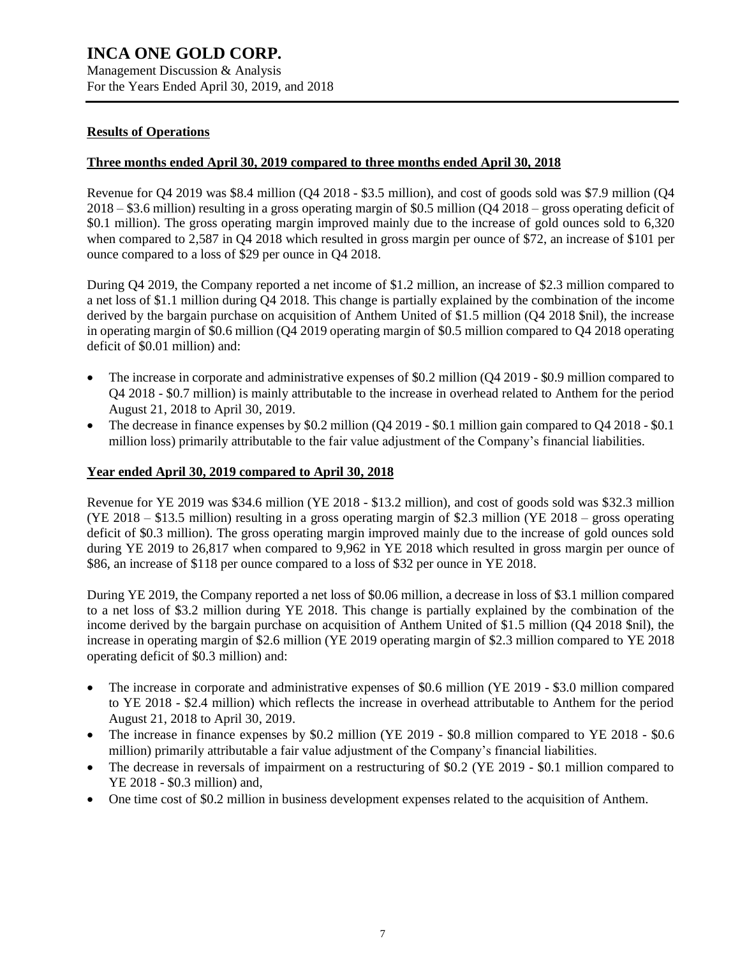For the Years Ended April 30, 2019, and 2018

# **Results of Operations**

# **Three months ended April 30, 2019 compared to three months ended April 30, 2018**

Revenue for Q4 2019 was \$8.4 million (Q4 2018 - \$3.5 million), and cost of goods sold was \$7.9 million (Q4 2018 – \$3.6 million) resulting in a gross operating margin of \$0.5 million (Q4 2018 – gross operating deficit of \$0.1 million). The gross operating margin improved mainly due to the increase of gold ounces sold to 6,320 when compared to 2,587 in O4 2018 which resulted in gross margin per ounce of \$72, an increase of \$101 per ounce compared to a loss of \$29 per ounce in Q4 2018.

During Q4 2019, the Company reported a net income of \$1.2 million, an increase of \$2.3 million compared to a net loss of \$1.1 million during Q4 2018. This change is partially explained by the combination of the income derived by the bargain purchase on acquisition of Anthem United of \$1.5 million (Q4 2018 \$nil), the increase in operating margin of \$0.6 million (Q4 2019 operating margin of \$0.5 million compared to Q4 2018 operating deficit of \$0.01 million) and:

- The increase in corporate and administrative expenses of \$0.2 million (Q4 2019 \$0.9 million compared to Q4 2018 - \$0.7 million) is mainly attributable to the increase in overhead related to Anthem for the period August 21, 2018 to April 30, 2019.
- The decrease in finance expenses by \$0.2 million (Q4 2019 \$0.1 million gain compared to Q4 2018 \$0.1 million loss) primarily attributable to the fair value adjustment of the Company's financial liabilities.

# **Year ended April 30, 2019 compared to April 30, 2018**

Revenue for YE 2019 was \$34.6 million (YE 2018 - \$13.2 million), and cost of goods sold was \$32.3 million (YE 2018 – \$13.5 million) resulting in a gross operating margin of \$2.3 million (YE 2018 – gross operating deficit of \$0.3 million). The gross operating margin improved mainly due to the increase of gold ounces sold during YE 2019 to 26,817 when compared to 9,962 in YE 2018 which resulted in gross margin per ounce of \$86, an increase of \$118 per ounce compared to a loss of \$32 per ounce in YE 2018.

During YE 2019, the Company reported a net loss of \$0.06 million, a decrease in loss of \$3.1 million compared to a net loss of \$3.2 million during YE 2018. This change is partially explained by the combination of the income derived by the bargain purchase on acquisition of Anthem United of \$1.5 million (Q4 2018 \$nil), the increase in operating margin of \$2.6 million (YE 2019 operating margin of \$2.3 million compared to YE 2018 operating deficit of \$0.3 million) and:

- The increase in corporate and administrative expenses of \$0.6 million (YE 2019 \$3.0 million compared to YE 2018 - \$2.4 million) which reflects the increase in overhead attributable to Anthem for the period August 21, 2018 to April 30, 2019.
- The increase in finance expenses by \$0.2 million (YE 2019 \$0.8 million compared to YE 2018 \$0.6 million) primarily attributable a fair value adjustment of the Company's financial liabilities.
- The decrease in reversals of impairment on a restructuring of \$0.2 (YE 2019 \$0.1 million compared to YE 2018 - \$0.3 million) and,
- One time cost of \$0.2 million in business development expenses related to the acquisition of Anthem.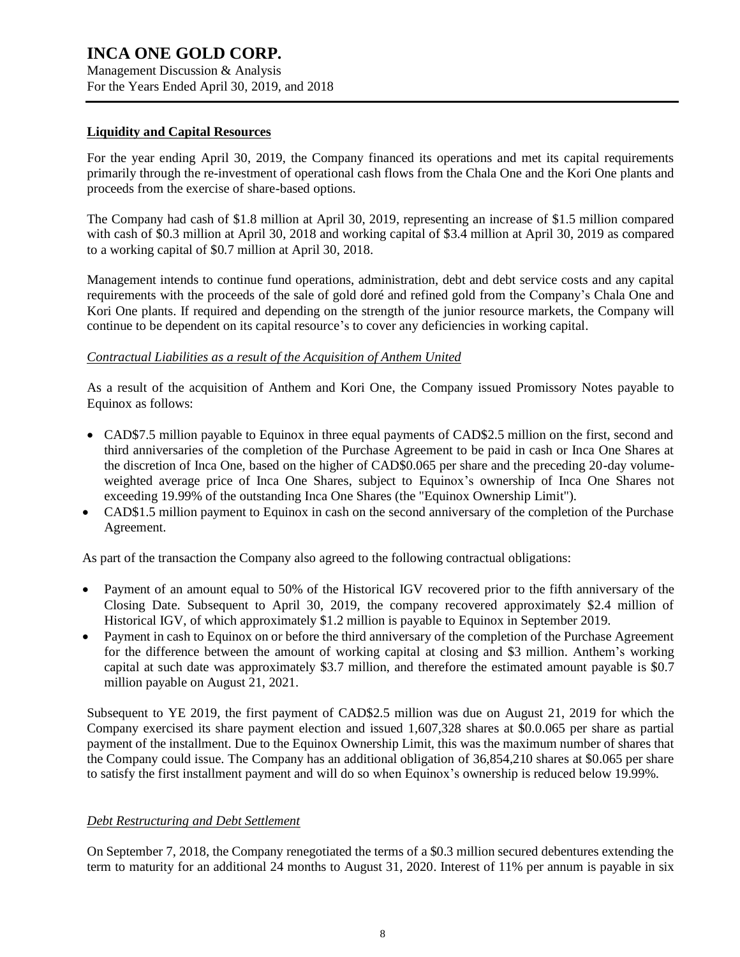Management Discussion & Analysis For the Years Ended April 30, 2019, and 2018

## **Liquidity and Capital Resources**

For the year ending April 30, 2019, the Company financed its operations and met its capital requirements primarily through the re-investment of operational cash flows from the Chala One and the Kori One plants and proceeds from the exercise of share-based options.

The Company had cash of \$1.8 million at April 30, 2019, representing an increase of \$1.5 million compared with cash of \$0.3 million at April 30, 2018 and working capital of \$3.4 million at April 30, 2019 as compared to a working capital of \$0.7 million at April 30, 2018.

Management intends to continue fund operations, administration, debt and debt service costs and any capital requirements with the proceeds of the sale of gold doré and refined gold from the Company's Chala One and Kori One plants. If required and depending on the strength of the junior resource markets, the Company will continue to be dependent on its capital resource's to cover any deficiencies in working capital.

## *Contractual Liabilities as a result of the Acquisition of Anthem United*

As a result of the acquisition of Anthem and Kori One, the Company issued Promissory Notes payable to Equinox as follows:

- CAD\$7.5 million payable to Equinox in three equal payments of CAD\$2.5 million on the first, second and third anniversaries of the completion of the Purchase Agreement to be paid in cash or Inca One Shares at the discretion of Inca One, based on the higher of CAD\$0.065 per share and the preceding 20-day volumeweighted average price of Inca One Shares, subject to Equinox's ownership of Inca One Shares not exceeding 19.99% of the outstanding Inca One Shares (the "Equinox Ownership Limit").
- CAD\$1.5 million payment to Equinox in cash on the second anniversary of the completion of the Purchase Agreement.

As part of the transaction the Company also agreed to the following contractual obligations:

- Payment of an amount equal to 50% of the Historical IGV recovered prior to the fifth anniversary of the Closing Date. Subsequent to April 30, 2019, the company recovered approximately \$2.4 million of Historical IGV, of which approximately \$1.2 million is payable to Equinox in September 2019.
- Payment in cash to Equinox on or before the third anniversary of the completion of the Purchase Agreement for the difference between the amount of working capital at closing and \$3 million. Anthem's working capital at such date was approximately \$3.7 million, and therefore the estimated amount payable is \$0.7 million payable on August 21, 2021.

Subsequent to YE 2019, the first payment of CAD\$2.5 million was due on August 21, 2019 for which the Company exercised its share payment election and issued 1,607,328 shares at \$0.0.065 per share as partial payment of the installment. Due to the Equinox Ownership Limit, this was the maximum number of shares that the Company could issue. The Company has an additional obligation of 36,854,210 shares at \$0.065 per share to satisfy the first installment payment and will do so when Equinox's ownership is reduced below 19.99%.

## *Debt Restructuring and Debt Settlement*

On September 7, 2018, the Company renegotiated the terms of a \$0.3 million secured debentures extending the term to maturity for an additional 24 months to August 31, 2020. Interest of 11% per annum is payable in six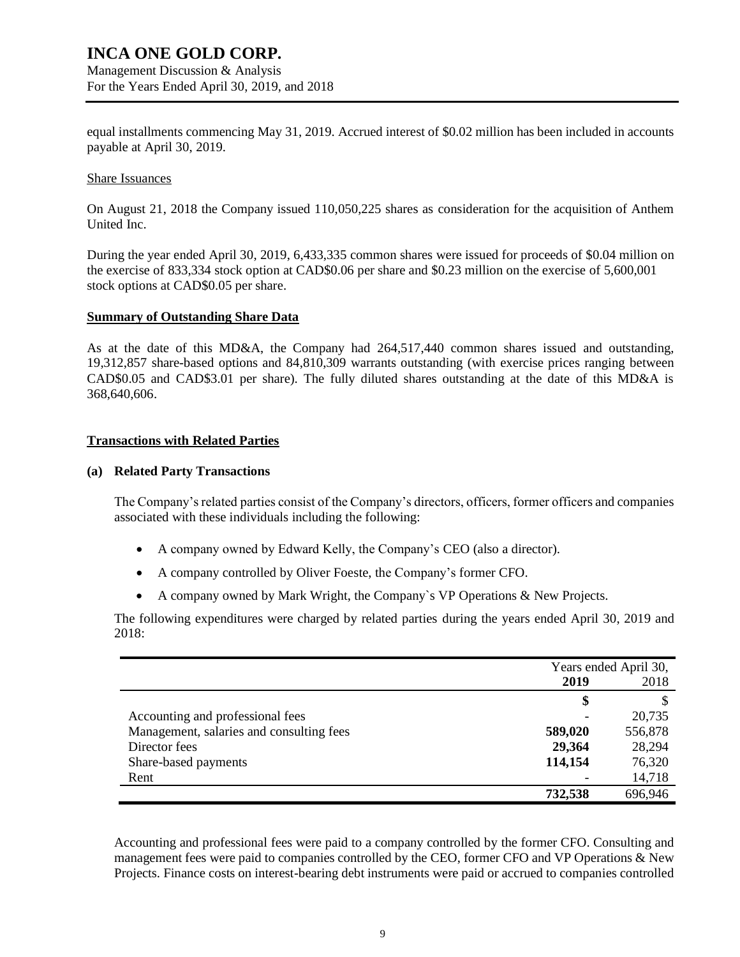Management Discussion & Analysis For the Years Ended April 30, 2019, and 2018

equal installments commencing May 31, 2019. Accrued interest of \$0.02 million has been included in accounts payable at April 30, 2019.

#### Share Issuances

On August 21, 2018 the Company issued 110,050,225 shares as consideration for the acquisition of Anthem United Inc.

During the year ended April 30, 2019, 6,433,335 common shares were issued for proceeds of \$0.04 million on the exercise of 833,334 stock option at CAD\$0.06 per share and \$0.23 million on the exercise of 5,600,001 stock options at CAD\$0.05 per share.

#### **Summary of Outstanding Share Data**

As at the date of this MD&A, the Company had 264,517,440 common shares issued and outstanding, 19,312,857 share-based options and 84,810,309 warrants outstanding (with exercise prices ranging between CAD\$0.05 and CAD\$3.01 per share). The fully diluted shares outstanding at the date of this MD&A is 368,640,606.

#### **Transactions with Related Parties**

#### **(a) Related Party Transactions**

The Company's related parties consist of the Company's directors, officers, former officers and companies associated with these individuals including the following:

- A company owned by Edward Kelly, the Company's CEO (also a director).
- A company controlled by Oliver Foeste, the Company's former CFO.
- A company owned by Mark Wright, the Company`s VP Operations & New Projects.

The following expenditures were charged by related parties during the years ended April 30, 2019 and 2018:

|                                          | Years ended April 30, |         |
|------------------------------------------|-----------------------|---------|
|                                          | 2019<br>2018          |         |
|                                          | \$                    |         |
| Accounting and professional fees         |                       | 20,735  |
| Management, salaries and consulting fees | 589,020               | 556,878 |
| Director fees                            | 29,364                | 28,294  |
| Share-based payments                     | 114,154               | 76,320  |
| Rent                                     |                       | 14,718  |
|                                          | 732,538               | 696,946 |

Accounting and professional fees were paid to a company controlled by the former CFO. Consulting and management fees were paid to companies controlled by the CEO, former CFO and VP Operations & New Projects. Finance costs on interest-bearing debt instruments were paid or accrued to companies controlled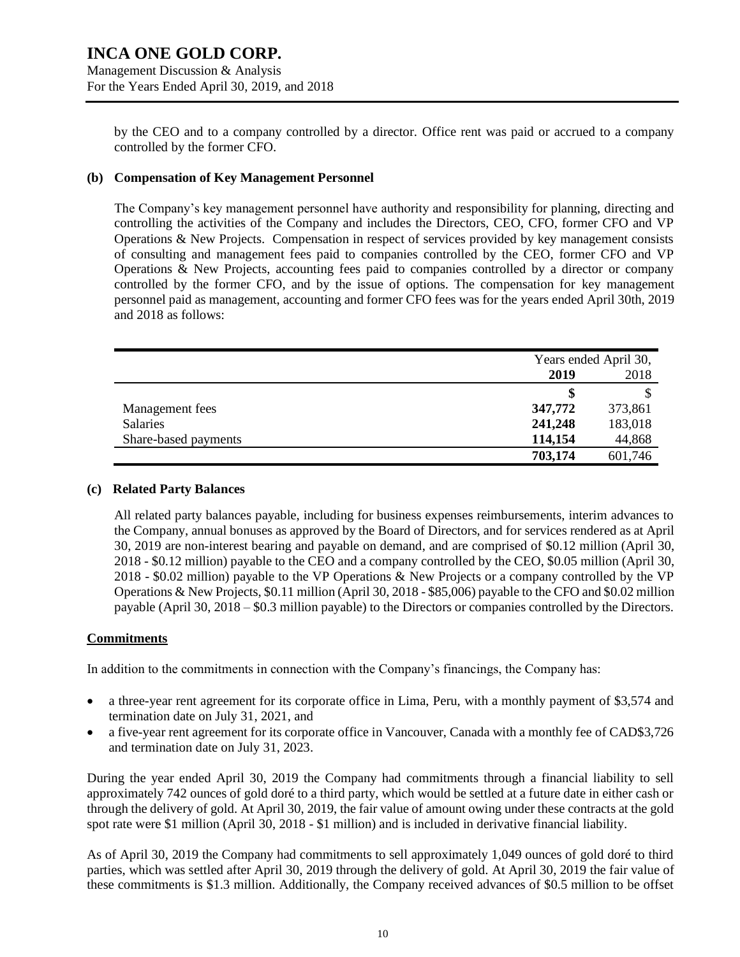by the CEO and to a company controlled by a director. Office rent was paid or accrued to a company controlled by the former CFO.

## **(b) Compensation of Key Management Personnel**

The Company's key management personnel have authority and responsibility for planning, directing and controlling the activities of the Company and includes the Directors, CEO, CFO, former CFO and VP Operations & New Projects. Compensation in respect of services provided by key management consists of consulting and management fees paid to companies controlled by the CEO, former CFO and VP Operations & New Projects, accounting fees paid to companies controlled by a director or company controlled by the former CFO, and by the issue of options. The compensation for key management personnel paid as management, accounting and former CFO fees was for the years ended April 30th, 2019 and 2018 as follows:

|                      | Years ended April 30, |         |
|----------------------|-----------------------|---------|
|                      | 2019                  | 2018    |
|                      | S                     |         |
| Management fees      | 347,772               | 373,861 |
| Salaries             | 241,248               | 183,018 |
| Share-based payments | 114,154               | 44,868  |
|                      | 703,174               | 601,746 |

#### **(c) Related Party Balances**

All related party balances payable, including for business expenses reimbursements, interim advances to the Company, annual bonuses as approved by the Board of Directors, and for services rendered as at April 30, 2019 are non-interest bearing and payable on demand, and are comprised of \$0.12 million (April 30, 2018 - \$0.12 million) payable to the CEO and a company controlled by the CEO, \$0.05 million (April 30, 2018 - \$0.02 million) payable to the VP Operations & New Projects or a company controlled by the VP Operations & New Projects, \$0.11 million (April 30, 2018 - \$85,006) payable to the CFO and \$0.02 million payable (April 30, 2018 – \$0.3 million payable) to the Directors or companies controlled by the Directors.

## **Commitments**

In addition to the commitments in connection with the Company's financings, the Company has:

- a three-year rent agreement for its corporate office in Lima, Peru, with a monthly payment of \$3,574 and termination date on July 31, 2021, and
- a five-year rent agreement for its corporate office in Vancouver, Canada with a monthly fee of CAD\$3,726 and termination date on July 31, 2023.

During the year ended April 30, 2019 the Company had commitments through a financial liability to sell approximately 742 ounces of gold doré to a third party, which would be settled at a future date in either cash or through the delivery of gold. At April 30, 2019, the fair value of amount owing under these contracts at the gold spot rate were \$1 million (April 30, 2018 - \$1 million) and is included in derivative financial liability.

As of April 30, 2019 the Company had commitments to sell approximately 1,049 ounces of gold doré to third parties, which was settled after April 30, 2019 through the delivery of gold. At April 30, 2019 the fair value of these commitments is \$1.3 million. Additionally, the Company received advances of \$0.5 million to be offset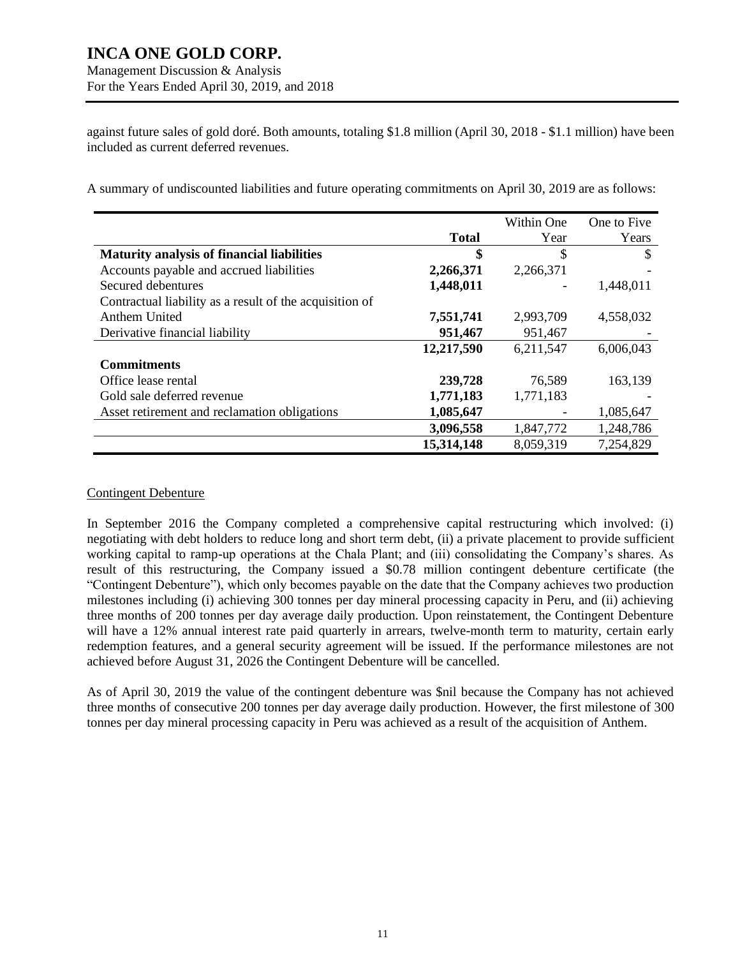Management Discussion & Analysis For the Years Ended April 30, 2019, and 2018

against future sales of gold doré. Both amounts, totaling \$1.8 million (April 30, 2018 - \$1.1 million) have been included as current deferred revenues.

A summary of undiscounted liabilities and future operating commitments on April 30, 2019 are as follows:

|                                                         |              | Within One               | One to Five |
|---------------------------------------------------------|--------------|--------------------------|-------------|
|                                                         | <b>Total</b> | Year                     | Years       |
| <b>Maturity analysis of financial liabilities</b>       | \$           | \$                       | S           |
| Accounts payable and accrued liabilities                | 2,266,371    | 2,266,371                |             |
| Secured debentures                                      | 1,448,011    | $\overline{\phantom{a}}$ | 1,448,011   |
| Contractual liability as a result of the acquisition of |              |                          |             |
| Anthem United                                           | 7,551,741    | 2,993,709                | 4,558,032   |
| Derivative financial liability                          | 951,467      | 951,467                  |             |
|                                                         | 12,217,590   | 6,211,547                | 6,006,043   |
| <b>Commitments</b>                                      |              |                          |             |
| Office lease rental                                     | 239,728      | 76,589                   | 163,139     |
| Gold sale deferred revenue                              | 1,771,183    | 1,771,183                |             |
| Asset retirement and reclamation obligations            | 1,085,647    | $\overline{\phantom{a}}$ | 1,085,647   |
|                                                         | 3,096,558    | 1,847,772                | 1,248,786   |
|                                                         | 15,314,148   | 8,059,319                | 7,254,829   |

## Contingent Debenture

In September 2016 the Company completed a comprehensive capital restructuring which involved: (i) negotiating with debt holders to reduce long and short term debt, (ii) a private placement to provide sufficient working capital to ramp-up operations at the Chala Plant; and (iii) consolidating the Company's shares. As result of this restructuring, the Company issued a \$0.78 million contingent debenture certificate (the "Contingent Debenture"), which only becomes payable on the date that the Company achieves two production milestones including (i) achieving 300 tonnes per day mineral processing capacity in Peru, and (ii) achieving three months of 200 tonnes per day average daily production. Upon reinstatement, the Contingent Debenture will have a 12% annual interest rate paid quarterly in arrears, twelve-month term to maturity, certain early redemption features, and a general security agreement will be issued. If the performance milestones are not achieved before August 31, 2026 the Contingent Debenture will be cancelled.

As of April 30, 2019 the value of the contingent debenture was \$nil because the Company has not achieved three months of consecutive 200 tonnes per day average daily production. However, the first milestone of 300 tonnes per day mineral processing capacity in Peru was achieved as a result of the acquisition of Anthem.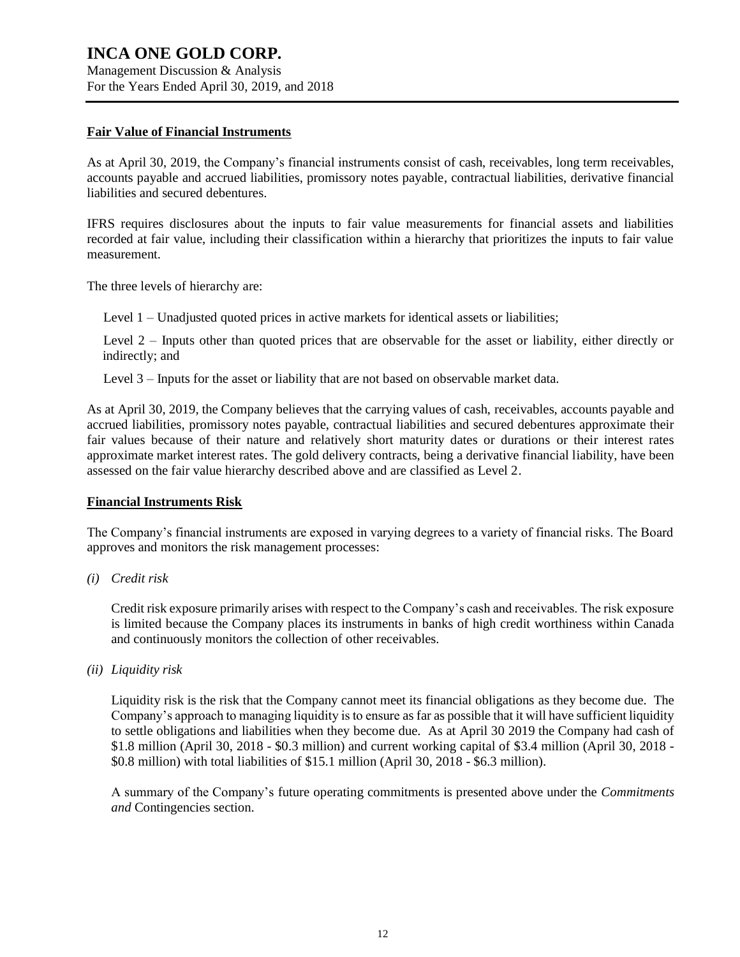Management Discussion & Analysis For the Years Ended April 30, 2019, and 2018

### **Fair Value of Financial Instruments**

As at April 30, 2019, the Company's financial instruments consist of cash, receivables, long term receivables, accounts payable and accrued liabilities, promissory notes payable, contractual liabilities, derivative financial liabilities and secured debentures.

IFRS requires disclosures about the inputs to fair value measurements for financial assets and liabilities recorded at fair value, including their classification within a hierarchy that prioritizes the inputs to fair value measurement.

The three levels of hierarchy are:

- Level 1 Unadjusted quoted prices in active markets for identical assets or liabilities;
- Level 2 Inputs other than quoted prices that are observable for the asset or liability, either directly or indirectly; and
- Level 3 Inputs for the asset or liability that are not based on observable market data.

As at April 30, 2019, the Company believes that the carrying values of cash, receivables, accounts payable and accrued liabilities, promissory notes payable, contractual liabilities and secured debentures approximate their fair values because of their nature and relatively short maturity dates or durations or their interest rates approximate market interest rates. The gold delivery contracts, being a derivative financial liability, have been assessed on the fair value hierarchy described above and are classified as Level 2.

## **Financial Instruments Risk**

The Company's financial instruments are exposed in varying degrees to a variety of financial risks. The Board approves and monitors the risk management processes:

*(i) Credit risk*

Credit risk exposure primarily arises with respect to the Company's cash and receivables. The risk exposure is limited because the Company places its instruments in banks of high credit worthiness within Canada and continuously monitors the collection of other receivables.

*(ii) Liquidity risk*

Liquidity risk is the risk that the Company cannot meet its financial obligations as they become due. The Company's approach to managing liquidity is to ensure as far as possible that it will have sufficient liquidity to settle obligations and liabilities when they become due. As at April 30 2019 the Company had cash of \$1.8 million (April 30, 2018 - \$0.3 million) and current working capital of \$3.4 million (April 30, 2018 - \$0.8 million) with total liabilities of \$15.1 million (April 30, 2018 - \$6.3 million).

A summary of the Company's future operating commitments is presented above under the *Commitments and* Contingencies section.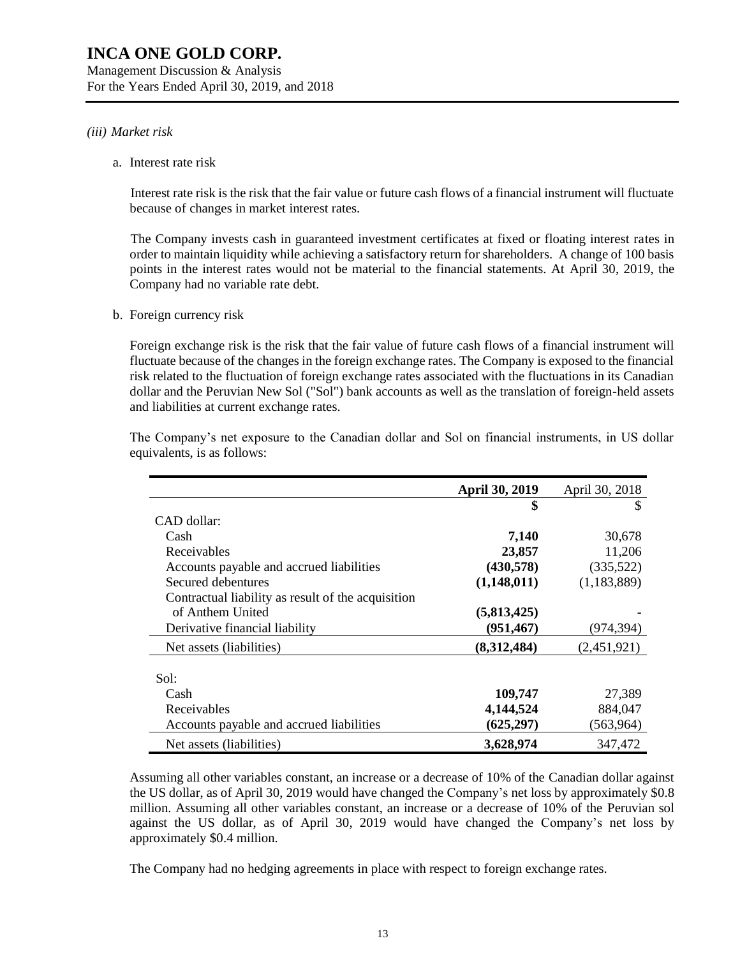Management Discussion & Analysis For the Years Ended April 30, 2019, and 2018

# *(iii) Market risk*

a. Interest rate risk

Interest rate risk is the risk that the fair value or future cash flows of a financial instrument will fluctuate because of changes in market interest rates.

The Company invests cash in guaranteed investment certificates at fixed or floating interest rates in order to maintain liquidity while achieving a satisfactory return for shareholders. A change of 100 basis points in the interest rates would not be material to the financial statements. At April 30, 2019, the Company had no variable rate debt.

b. Foreign currency risk

Foreign exchange risk is the risk that the fair value of future cash flows of a financial instrument will fluctuate because of the changes in the foreign exchange rates. The Company is exposed to the financial risk related to the fluctuation of foreign exchange rates associated with the fluctuations in its Canadian dollar and the Peruvian New Sol ("Sol") bank accounts as well as the translation of foreign-held assets and liabilities at current exchange rates.

|                                                    | April 30, 2019 | April 30, 2018 |
|----------------------------------------------------|----------------|----------------|
|                                                    | \$             | S              |
| CAD dollar:                                        |                |                |
| Cash                                               | 7,140          | 30,678         |
| Receivables                                        | 23,857         | 11,206         |
| Accounts payable and accrued liabilities           | (430,578)      | (335,522)      |
| Secured debentures                                 | (1,148,011)    | (1, 183, 889)  |
| Contractual liability as result of the acquisition |                |                |
| of Anthem United                                   | (5,813,425)    |                |
| Derivative financial liability                     | (951, 467)     | (974, 394)     |
| Net assets (liabilities)                           | (8,312,484)    | (2,451,921)    |
|                                                    |                |                |
| Sol:                                               |                |                |
| Cash                                               | 109,747        | 27,389         |
| Receivables                                        | 4,144,524      | 884,047        |
| Accounts payable and accrued liabilities           | (625, 297)     | (563,964)      |
| Net assets (liabilities)                           | 3,628,974      | 347,472        |

The Company's net exposure to the Canadian dollar and Sol on financial instruments, in US dollar equivalents, is as follows:

Assuming all other variables constant, an increase or a decrease of 10% of the Canadian dollar against the US dollar, as of April 30, 2019 would have changed the Company's net loss by approximately \$0.8 million. Assuming all other variables constant, an increase or a decrease of 10% of the Peruvian sol against the US dollar, as of April 30, 2019 would have changed the Company's net loss by approximately \$0.4 million.

The Company had no hedging agreements in place with respect to foreign exchange rates.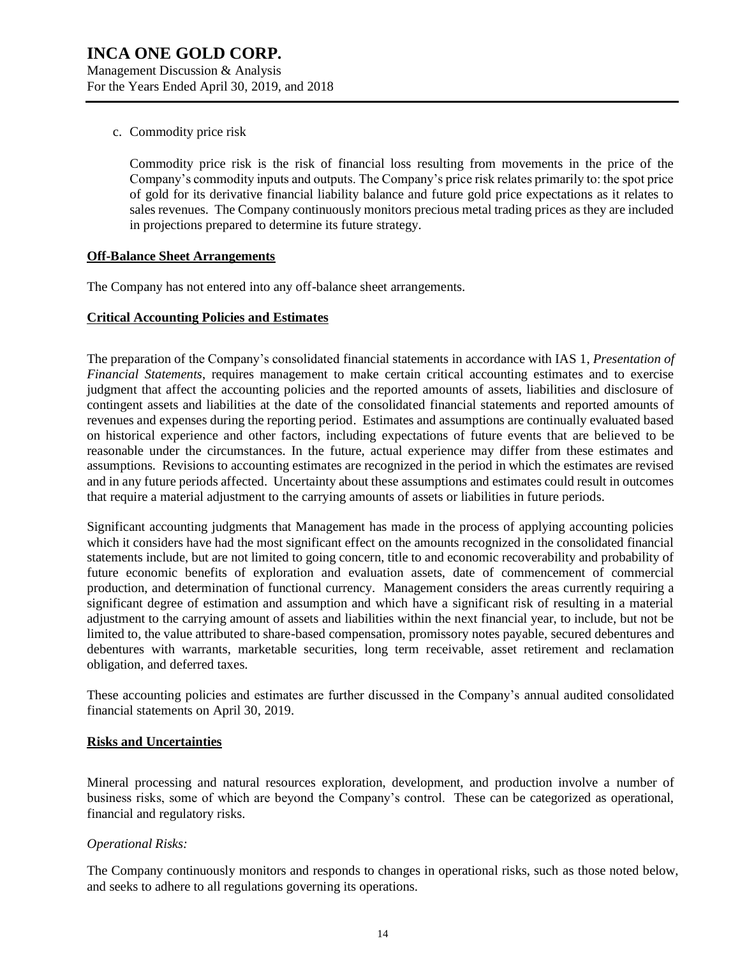c. Commodity price risk

Commodity price risk is the risk of financial loss resulting from movements in the price of the Company's commodity inputs and outputs. The Company's price risk relates primarily to: the spot price of gold for its derivative financial liability balance and future gold price expectations as it relates to sales revenues. The Company continuously monitors precious metal trading prices as they are included in projections prepared to determine its future strategy.

## **Off-Balance Sheet Arrangements**

The Company has not entered into any off-balance sheet arrangements.

#### **Critical Accounting Policies and Estimates**

The preparation of the Company's consolidated financial statements in accordance with IAS 1, *Presentation of Financial Statements*, requires management to make certain critical accounting estimates and to exercise judgment that affect the accounting policies and the reported amounts of assets, liabilities and disclosure of contingent assets and liabilities at the date of the consolidated financial statements and reported amounts of revenues and expenses during the reporting period. Estimates and assumptions are continually evaluated based on historical experience and other factors, including expectations of future events that are believed to be reasonable under the circumstances. In the future, actual experience may differ from these estimates and assumptions. Revisions to accounting estimates are recognized in the period in which the estimates are revised and in any future periods affected. Uncertainty about these assumptions and estimates could result in outcomes that require a material adjustment to the carrying amounts of assets or liabilities in future periods.

Significant accounting judgments that Management has made in the process of applying accounting policies which it considers have had the most significant effect on the amounts recognized in the consolidated financial statements include, but are not limited to going concern, title to and economic recoverability and probability of future economic benefits of exploration and evaluation assets, date of commencement of commercial production, and determination of functional currency. Management considers the areas currently requiring a significant degree of estimation and assumption and which have a significant risk of resulting in a material adjustment to the carrying amount of assets and liabilities within the next financial year, to include, but not be limited to, the value attributed to share-based compensation, promissory notes payable, secured debentures and debentures with warrants, marketable securities, long term receivable, asset retirement and reclamation obligation, and deferred taxes.

These accounting policies and estimates are further discussed in the Company's annual audited consolidated financial statements on April 30, 2019.

#### **Risks and Uncertainties**

Mineral processing and natural resources exploration, development, and production involve a number of business risks, some of which are beyond the Company's control. These can be categorized as operational, financial and regulatory risks.

#### *Operational Risks:*

The Company continuously monitors and responds to changes in operational risks, such as those noted below, and seeks to adhere to all regulations governing its operations.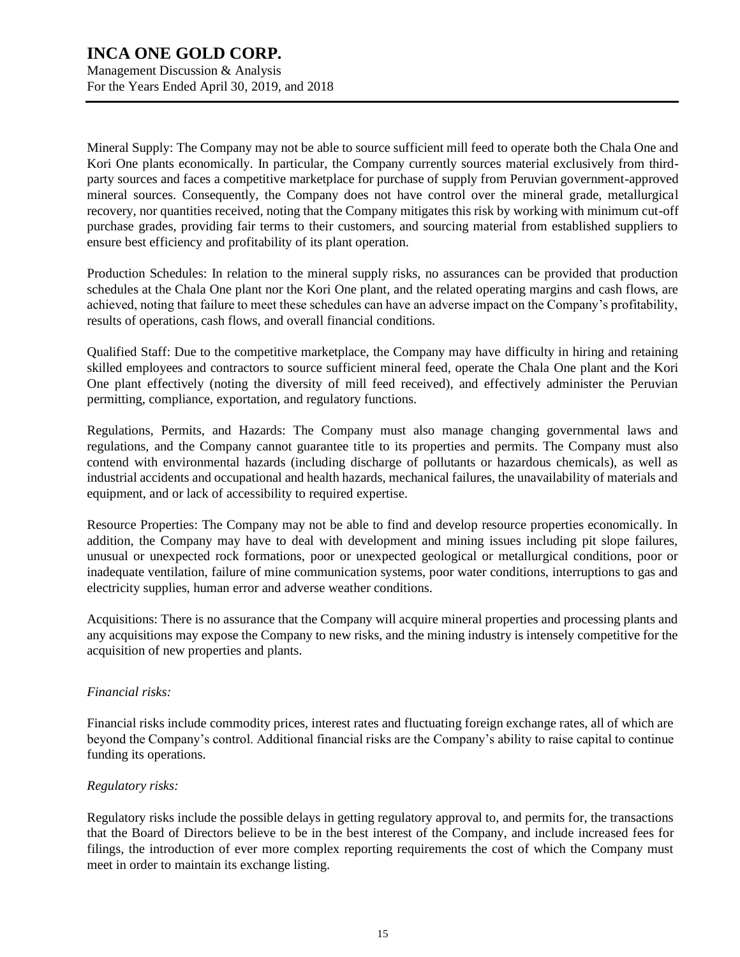Mineral Supply: The Company may not be able to source sufficient mill feed to operate both the Chala One and Kori One plants economically. In particular, the Company currently sources material exclusively from thirdparty sources and faces a competitive marketplace for purchase of supply from Peruvian government-approved mineral sources. Consequently, the Company does not have control over the mineral grade, metallurgical recovery, nor quantities received, noting that the Company mitigates this risk by working with minimum cut-off purchase grades, providing fair terms to their customers, and sourcing material from established suppliers to ensure best efficiency and profitability of its plant operation.

Production Schedules: In relation to the mineral supply risks, no assurances can be provided that production schedules at the Chala One plant nor the Kori One plant, and the related operating margins and cash flows, are achieved, noting that failure to meet these schedules can have an adverse impact on the Company's profitability, results of operations, cash flows, and overall financial conditions.

Qualified Staff: Due to the competitive marketplace, the Company may have difficulty in hiring and retaining skilled employees and contractors to source sufficient mineral feed, operate the Chala One plant and the Kori One plant effectively (noting the diversity of mill feed received), and effectively administer the Peruvian permitting, compliance, exportation, and regulatory functions.

Regulations, Permits, and Hazards: The Company must also manage changing governmental laws and regulations, and the Company cannot guarantee title to its properties and permits. The Company must also contend with environmental hazards (including discharge of pollutants or hazardous chemicals), as well as industrial accidents and occupational and health hazards, mechanical failures, the unavailability of materials and equipment, and or lack of accessibility to required expertise.

Resource Properties: The Company may not be able to find and develop resource properties economically. In addition, the Company may have to deal with development and mining issues including pit slope failures, unusual or unexpected rock formations, poor or unexpected geological or metallurgical conditions, poor or inadequate ventilation, failure of mine communication systems, poor water conditions, interruptions to gas and electricity supplies, human error and adverse weather conditions.

Acquisitions: There is no assurance that the Company will acquire mineral properties and processing plants and any acquisitions may expose the Company to new risks, and the mining industry is intensely competitive for the acquisition of new properties and plants.

## *Financial risks:*

Financial risks include commodity prices, interest rates and fluctuating foreign exchange rates, all of which are beyond the Company's control. Additional financial risks are the Company's ability to raise capital to continue funding its operations.

## *Regulatory risks:*

Regulatory risks include the possible delays in getting regulatory approval to, and permits for, the transactions that the Board of Directors believe to be in the best interest of the Company, and include increased fees for filings, the introduction of ever more complex reporting requirements the cost of which the Company must meet in order to maintain its exchange listing.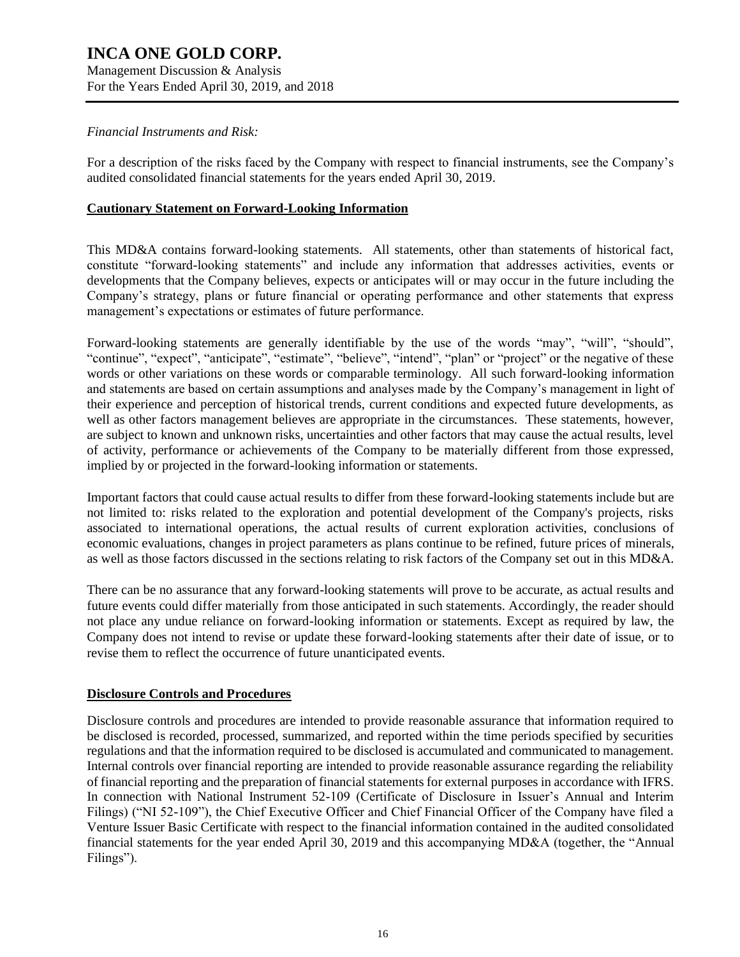# **INCA ONE GOLD CORP.** Management Discussion & Analysis For the Years Ended April 30, 2019, and 2018

# *Financial Instruments and Risk:*

For a description of the risks faced by the Company with respect to financial instruments, see the Company's audited consolidated financial statements for the years ended April 30, 2019.

# **Cautionary Statement on Forward-Looking Information**

This MD&A contains forward-looking statements. All statements, other than statements of historical fact, constitute "forward-looking statements" and include any information that addresses activities, events or developments that the Company believes, expects or anticipates will or may occur in the future including the Company's strategy, plans or future financial or operating performance and other statements that express management's expectations or estimates of future performance.

Forward-looking statements are generally identifiable by the use of the words "may", "will", "should", "continue", "expect", "anticipate", "estimate", "believe", "intend", "plan" or "project" or the negative of these words or other variations on these words or comparable terminology. All such forward-looking information and statements are based on certain assumptions and analyses made by the Company's management in light of their experience and perception of historical trends, current conditions and expected future developments, as well as other factors management believes are appropriate in the circumstances. These statements, however, are subject to known and unknown risks, uncertainties and other factors that may cause the actual results, level of activity, performance or achievements of the Company to be materially different from those expressed, implied by or projected in the forward-looking information or statements.

Important factors that could cause actual results to differ from these forward-looking statements include but are not limited to: risks related to the exploration and potential development of the Company's projects, risks associated to international operations, the actual results of current exploration activities, conclusions of economic evaluations, changes in project parameters as plans continue to be refined, future prices of minerals, as well as those factors discussed in the sections relating to risk factors of the Company set out in this MD&A.

There can be no assurance that any forward-looking statements will prove to be accurate, as actual results and future events could differ materially from those anticipated in such statements. Accordingly, the reader should not place any undue reliance on forward-looking information or statements. Except as required by law, the Company does not intend to revise or update these forward-looking statements after their date of issue, or to revise them to reflect the occurrence of future unanticipated events.

# **Disclosure Controls and Procedures**

Disclosure controls and procedures are intended to provide reasonable assurance that information required to be disclosed is recorded, processed, summarized, and reported within the time periods specified by securities regulations and that the information required to be disclosed is accumulated and communicated to management. Internal controls over financial reporting are intended to provide reasonable assurance regarding the reliability of financial reporting and the preparation of financial statements for external purposes in accordance with IFRS. In connection with National Instrument 52-109 (Certificate of Disclosure in Issuer's Annual and Interim Filings) ("NI 52-109"), the Chief Executive Officer and Chief Financial Officer of the Company have filed a Venture Issuer Basic Certificate with respect to the financial information contained in the audited consolidated financial statements for the year ended April 30, 2019 and this accompanying MD&A (together, the "Annual Filings").